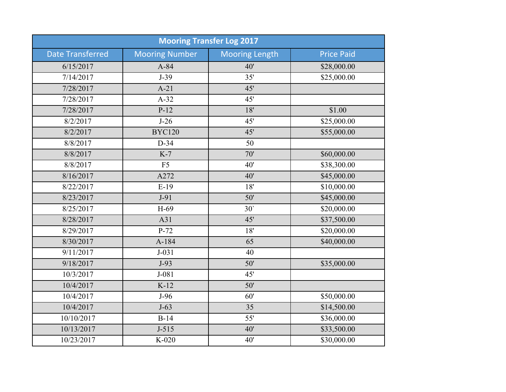| <b>Mooring Transfer Log 2017</b> |                       |                       |                   |  |
|----------------------------------|-----------------------|-----------------------|-------------------|--|
| <b>Date Transferred</b>          | <b>Mooring Number</b> | <b>Mooring Length</b> | <b>Price Paid</b> |  |
| 6/15/2017                        | $A-84$                | 40'                   | \$28,000.00       |  |
| 7/14/2017                        | $J-39$                | 35'                   | \$25,000.00       |  |
| 7/28/2017                        | $A-21$                | 45'                   |                   |  |
| 7/28/2017                        | $A-32$                | 45'                   |                   |  |
| 7/28/2017                        | $P-12$                | 18'                   | \$1.00            |  |
| 8/2/2017                         | $J-26$                | 45'                   | \$25,000.00       |  |
| 8/2/2017                         | <b>BYC120</b>         | 45'                   | \$55,000.00       |  |
| 8/8/2017                         | $D-34$                | 50                    |                   |  |
| 8/8/2017                         | $K-7$                 | 70'                   | \$60,000.00       |  |
| 8/8/2017                         | F <sub>5</sub>        | 40'                   | \$38,300.00       |  |
| 8/16/2017                        | A272                  | 40'                   | \$45,000.00       |  |
| 8/22/2017                        | $E-19$                | 18'                   | \$10,000.00       |  |
| 8/23/2017                        | $J-91$                | 50'                   | \$45,000.00       |  |
| 8/25/2017                        | H-69                  | 30 <sup>°</sup>       | \$20,000.00       |  |
| 8/28/2017                        | A31                   | 45'                   | \$37,500.00       |  |
| 8/29/2017                        | $P-72$                | 18'                   | \$20,000.00       |  |
| 8/30/2017                        | A-184                 | 65                    | \$40,000.00       |  |
| 9/11/2017                        | $J-031$               | 40                    |                   |  |
| 9/18/2017                        | $J-93$                | 50'                   | \$35,000.00       |  |
| 10/3/2017                        | $J-081$               | 45'                   |                   |  |
| 10/4/2017                        | $K-12$                | 50'                   |                   |  |
| 10/4/2017                        | $J-96$                | 60'                   | \$50,000.00       |  |
| 10/4/2017                        | $J-63$                | 35                    | \$14,500.00       |  |
| 10/10/2017                       | $B-14$                | 55'                   | \$36,000.00       |  |
| 10/13/2017                       | $J-515$               | 40'                   | \$33,500.00       |  |
| 10/23/2017                       | K-020                 | 40'                   | \$30,000.00       |  |